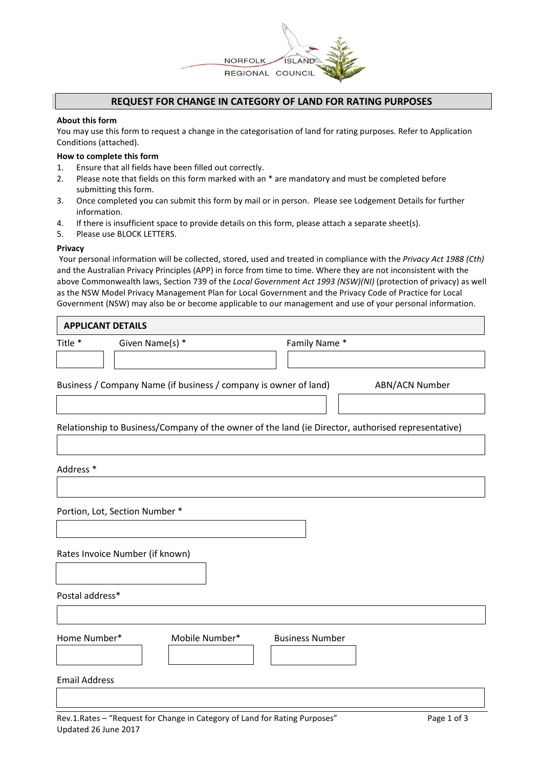

## **REQUEST FOR CHANGE IN CATEGORY OF LAND FOR RATING PURPOSES**

#### **About this form**

You may use this form to request a change in the categorisation of land for rating purposes. Refer to Application Conditions (attached).

### **How to complete this form**

- 1. Ensure that all fields have been filled out correctly.
- 2. Please note that fields on this form marked with an \* are mandatory and must be completed before submitting this form.
- 3. Once completed you can submit this form by mail or in person. Please see Lodgement Details for further information.
- 4. If there is insufficient space to provide details on this form, please attach a separate sheet(s).
- 5. Please use BLOCK LETTERS.

#### **Privacy**

Your personal information will be collected, stored, used and treated in compliance with the *Privacy Act 1988 (Cth)*  and the Australian Privacy Principles (APP) in force from time to time. Where they are not inconsistent with the above Commonwealth laws, Section 739 of the *Local Government Act 1993 (NSW)(NI)* (protection of privacy) as well as the NSW Model Privacy Management Plan for Local Government and the Privacy Code of Practice for Local Government (NSW) may also be or become applicable to our management and use of your personal information.

| <b>APPLICANT DETAILS</b>       |                                                                                                    |  |  |
|--------------------------------|----------------------------------------------------------------------------------------------------|--|--|
| Given Name(s) *                | Family Name *                                                                                      |  |  |
|                                |                                                                                                    |  |  |
|                                | ABN/ACN Number                                                                                     |  |  |
|                                |                                                                                                    |  |  |
|                                | Relationship to Business/Company of the owner of the land (ie Director, authorised representative) |  |  |
|                                |                                                                                                    |  |  |
|                                |                                                                                                    |  |  |
|                                |                                                                                                    |  |  |
| Portion, Lot, Section Number * |                                                                                                    |  |  |
|                                |                                                                                                    |  |  |
|                                | Business / Company Name (if business / company is owner of land)                                   |  |  |

Rates Invoice Number (if known)

Postal address\*

| Home Number* | Mobile Number* | <b>Business Number</b> |
|--------------|----------------|------------------------|
|              |                |                        |

Email Address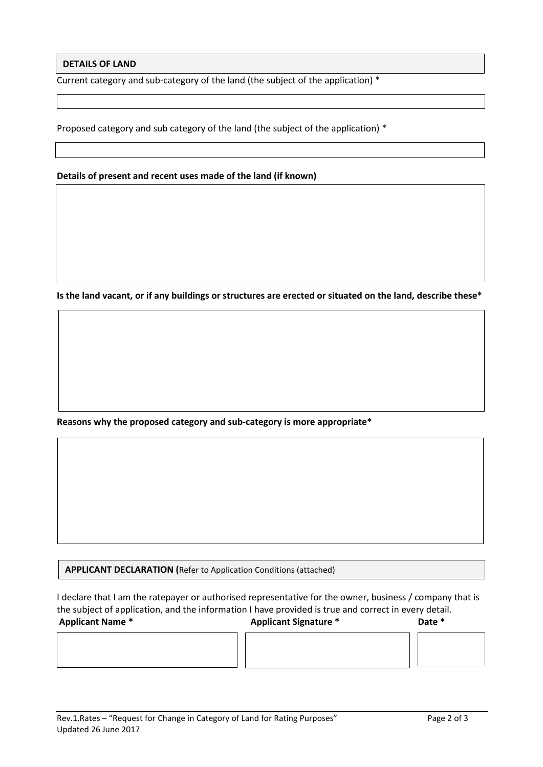## **DETAILS OF LAND**

Current category and sub-category of the land (the subject of the application) \*

Proposed category and sub category of the land (the subject of the application) \*

## **Details of present and recent uses made of the land (if known)**

**Is the land vacant, or if any buildings or structures are erected or situated on the land, describe these\***

**Reasons why the proposed category and sub-category is more appropriate\***

**APPLICANT DECLARATION (**Refer to Application Conditions (attached)

I declare that I am the ratepayer or authorised representative for the owner, business / company that is the subject of application, and the information I have provided is true and correct in every detail. **Applicant Name \* Applicant Signature \* Date \***